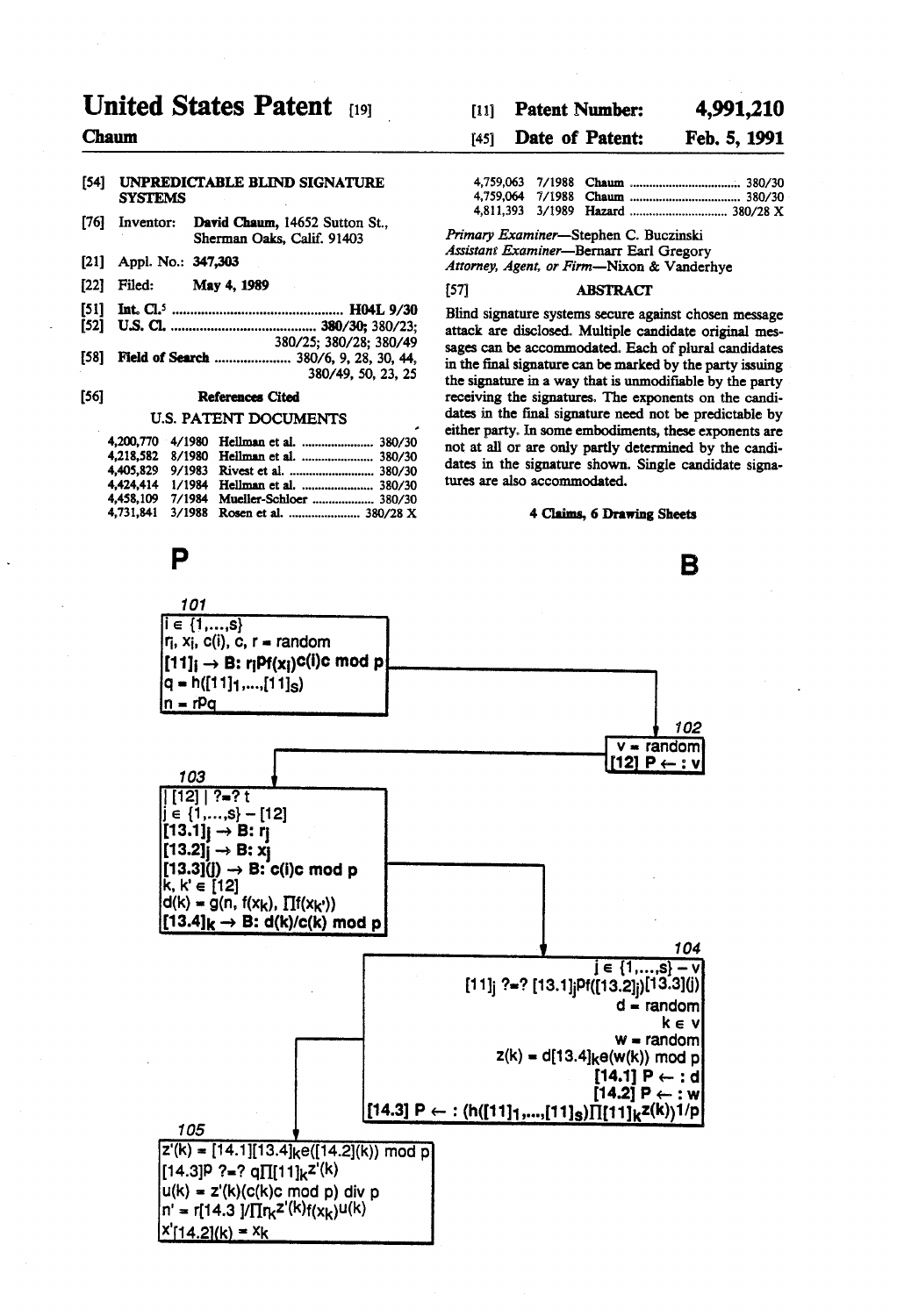# United States Patent [19] [11] Patent Number: 4,991,210

# [54] UNPREDICTABLE BLIND SIGNATURE 5YSTEMS

- [76] Inventor: David Chaum, 14652 Sutton St.,<br>Sherman Oaks, Calif. 91403
- 
- 
- CLS ............................................. .. 30 Signature systems Secure chosen message
- 

|  | 4.200.770 4/1980 Hellman et al.  380/30  |  |
|--|------------------------------------------|--|
|  |                                          |  |
|  | 4,218,582 8/1980 Hellman et al.  380/30  |  |
|  |                                          |  |
|  | 4,424,414 1/1984 Hellman et al.  380/30  |  |
|  | 4,458,109 7/1984 Mueller-Schloer  380/30 |  |
|  |                                          |  |

# P

## Chaum [45] Date of Patent: Feb. 5, 1991

| UNPREDICTABLE BLIND SIGNATURE |  |  |
|-------------------------------|--|--|
| SYSTEMS                       |  |  |
| $\cdots$<br>.                 |  |  |

Primary Examiner-Stephen C. Buczinski Assistant Examiner-Bernarr Earl Gregory [21] Appl. No.: 347,303 Attorney, Agent, or Firm-Nixon & Vanderhye

## [22] Filed: May 4, 1989 [57] ABSTRACT

 $\frac{380}{25}$  380/30; 380/23; attack are disclosed. Multiple candidate original mes-<br> $\frac{380}{25}$ ; 380/28; 380/49 sages can be accommodated. Each of plural candidates 380/253 380/28; 380/49 sages can be accommodated. Each of plural candidates  $[580/6, 9, 25, 30, 44, \dots]$  in the final signature can be marked by the party issuing  $380/49, 50, 23, 25$  the signature in a way that is unmodifiable by the party [56] References Cited receiving the signatures, The exponents on the candi U.S. PATENT DOCUMENTS dates in the final signature need not be predictable by  $\cdot$  either party. In some embodiments, these exponents are not at all or are only partly determined by the candidates in the signature shown. Single candidate signatures are also accommodated.

#### 4 Claims, 6 Drawing Sheets

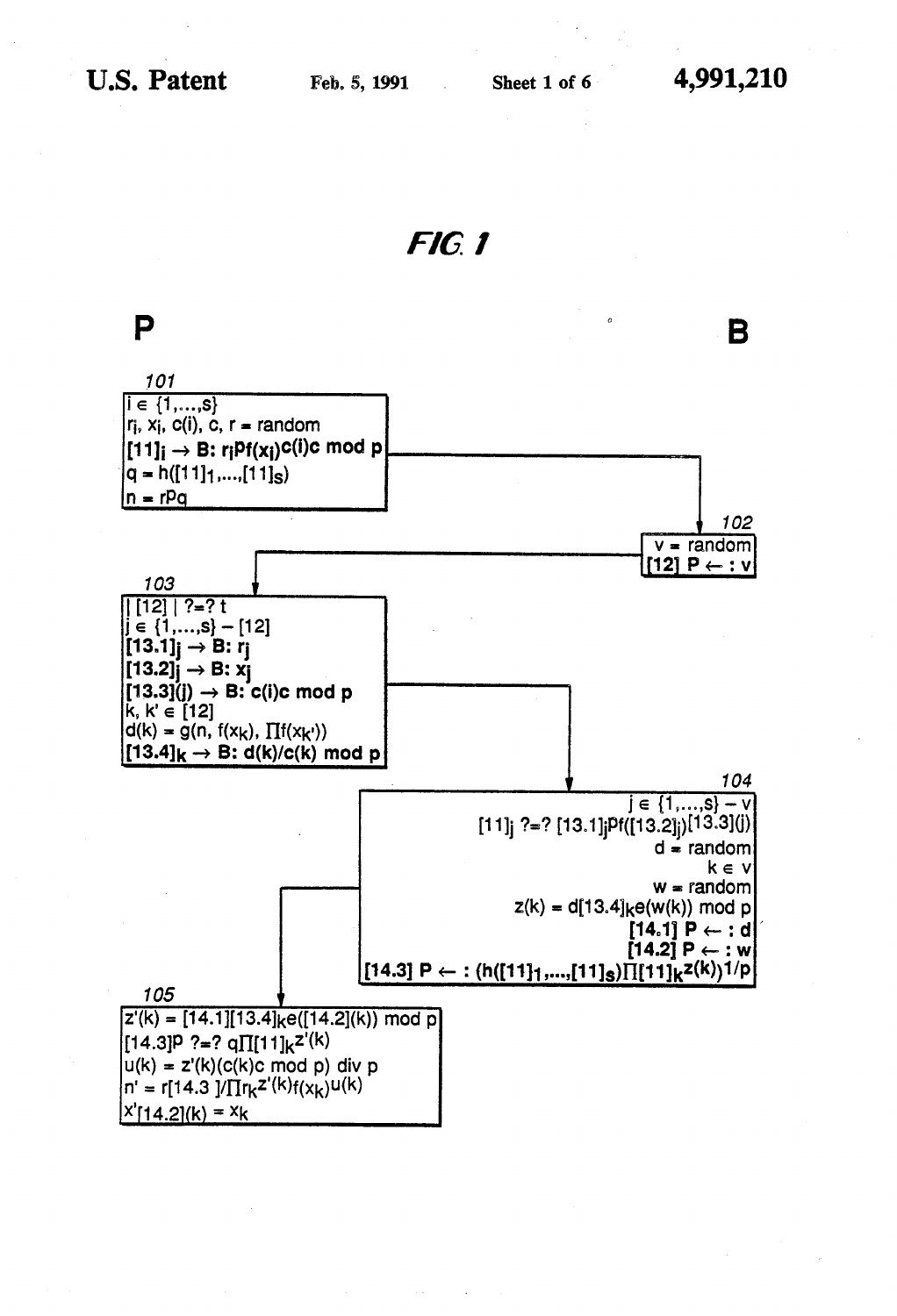$FIG. 1$ 

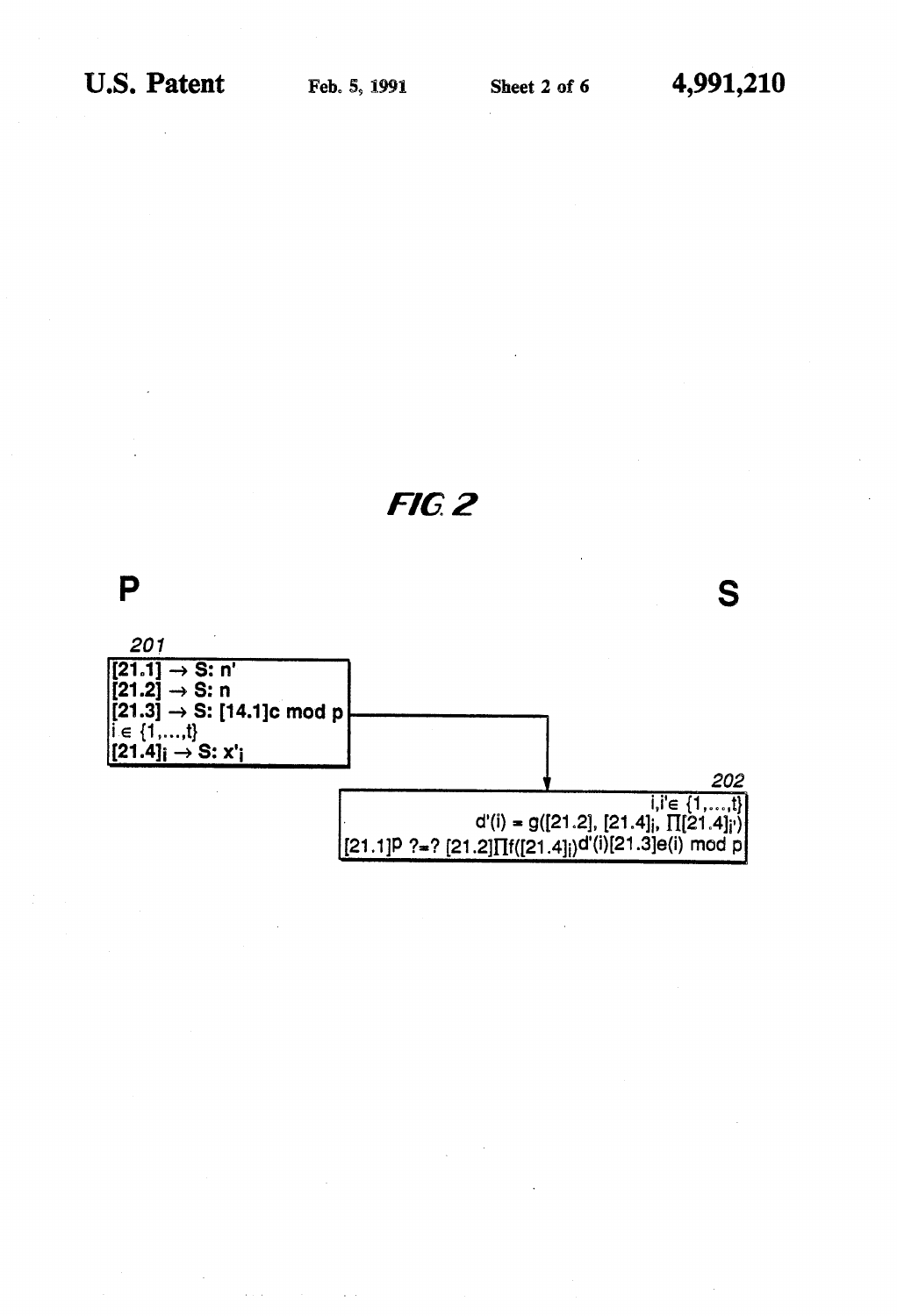

P S 201  $[21.1] \rightarrow S: n'$  $[21.2] \rightarrow S$ : n  $\begin{array}{l} \n [21.3] \rightarrow \text{S: [14.1]c mod p} \\ \n \mathbf{1} \in \{1,...,1\} \\ \n [21.4] \mathbf{i} \rightarrow \text{S: x'} \n \end{array}$ 202  $\begin{array}{c} \begin{array}{c} 202 \\ \text{i, i' \in } \{1, \ldots, i\} \\ \text{d'(i)} = g([21.2], [21.4], \text{ } [[21.4]i') \\ \hline \end{array} \end{array}$ 

 $\sim 10^7$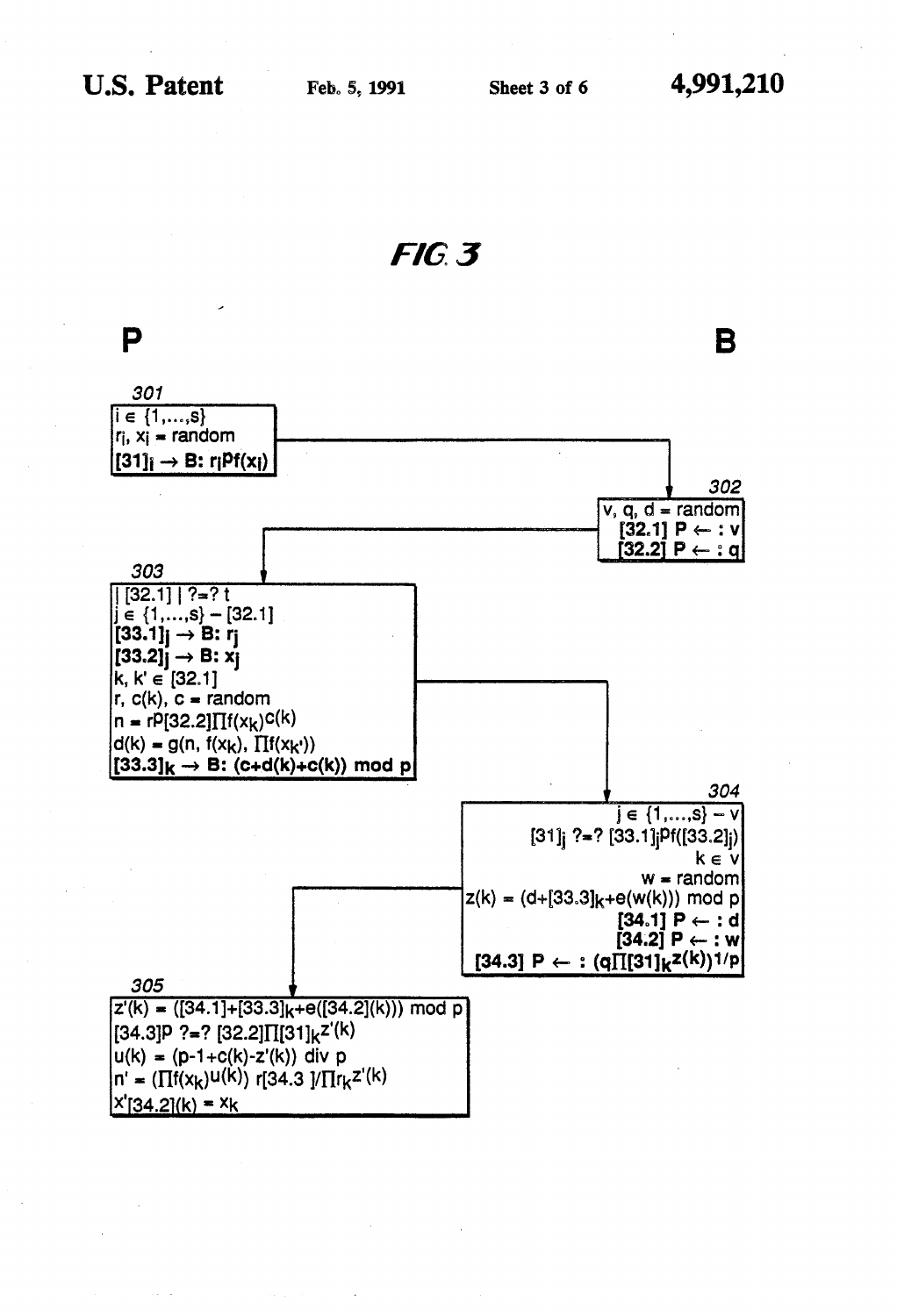**FIG. 3** 

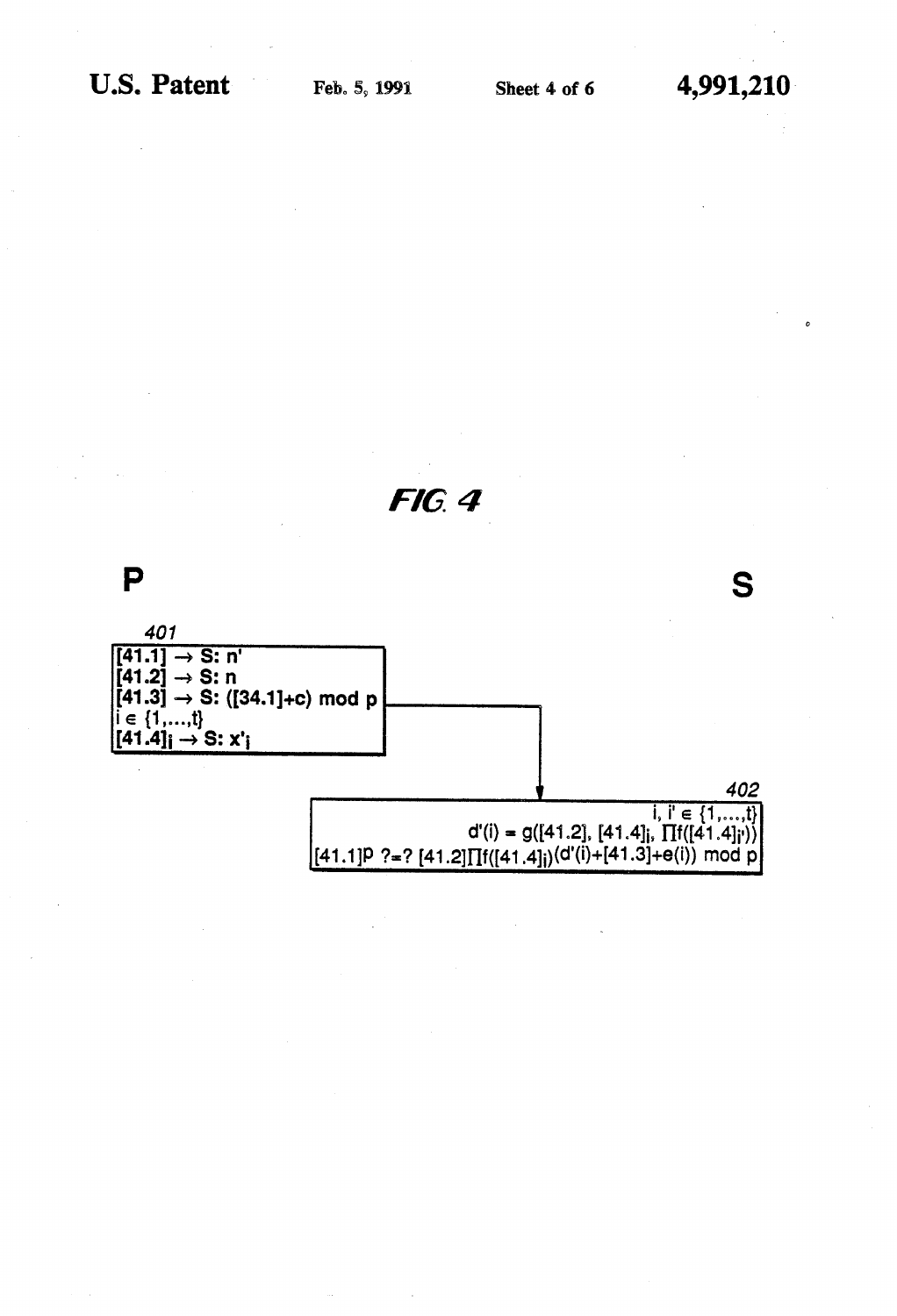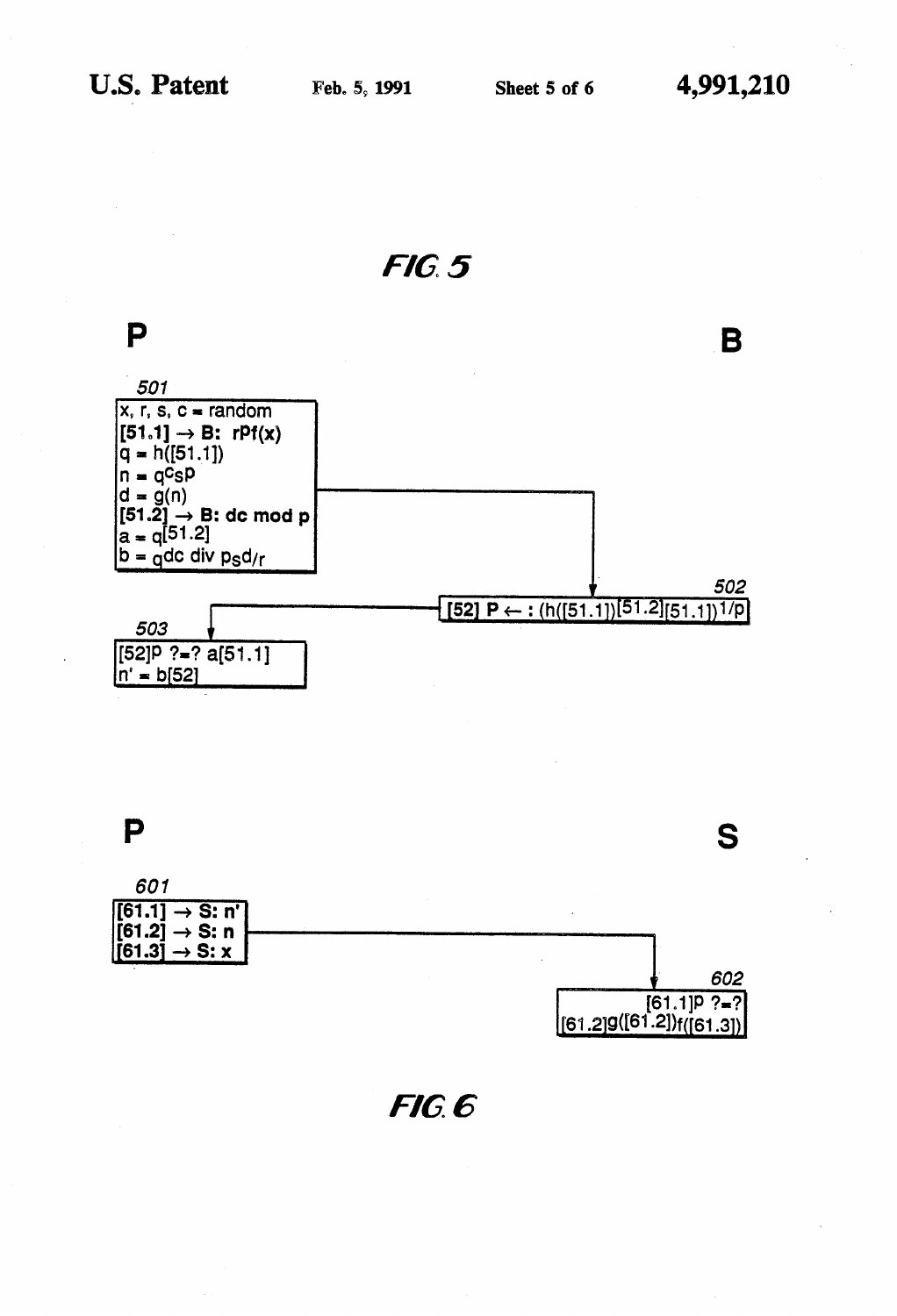S





P



**FIG.6**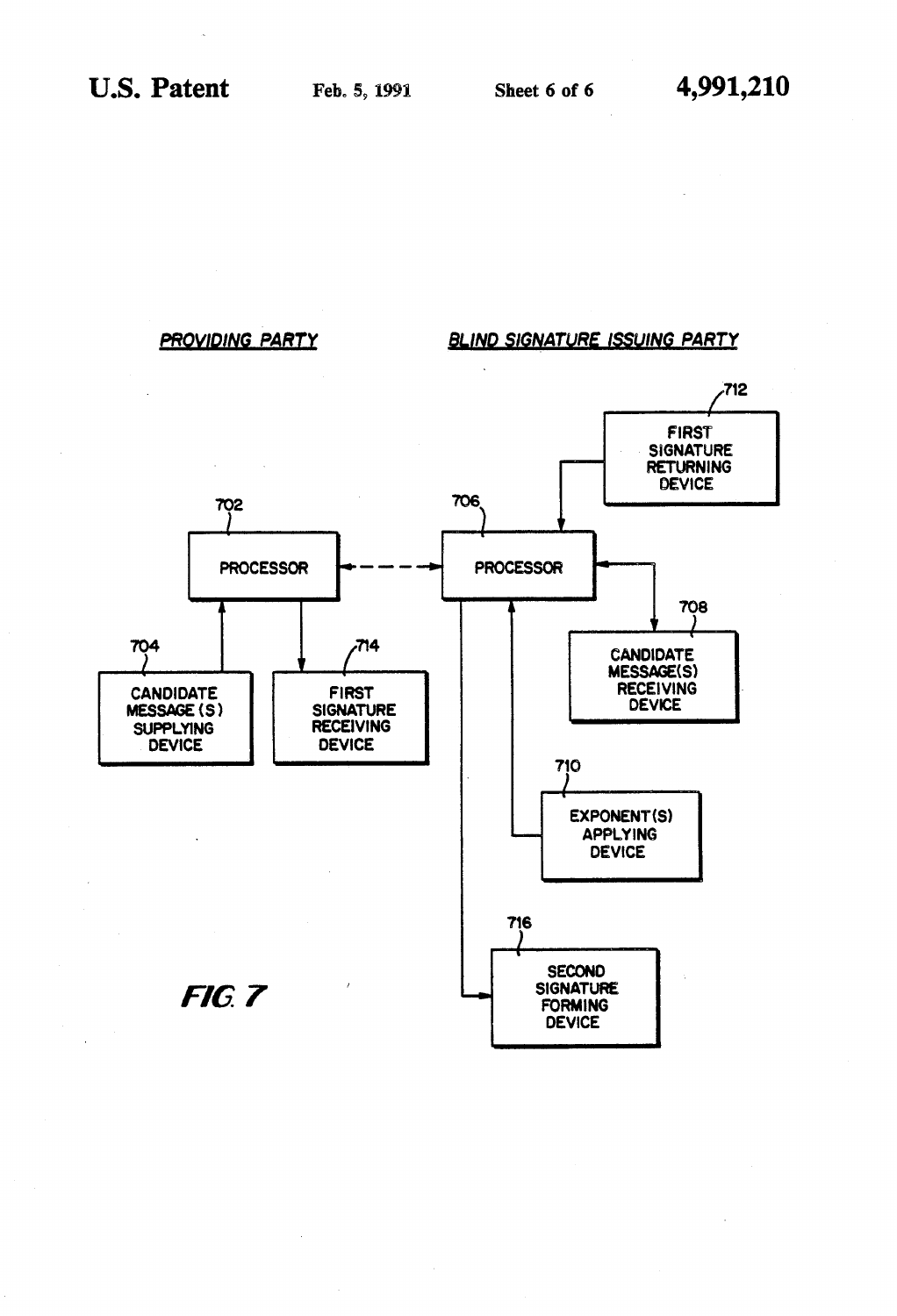**PROVIDING PARTY** 

**BLIND SIGNATURE ISSUING PARTY** 

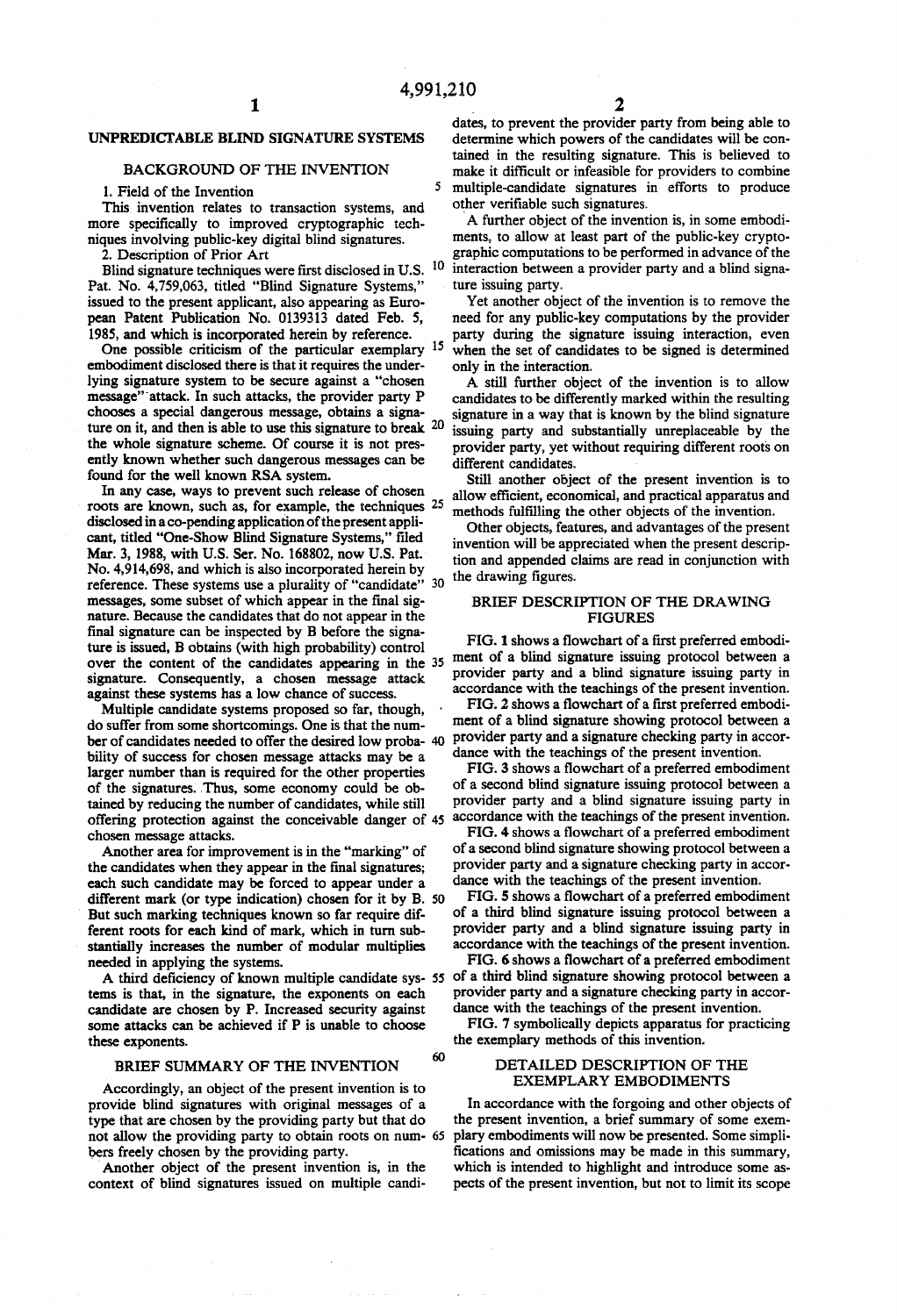5

60

### UNPREDICTABLE BLIND SIGNATURE SYSTEMS

### BACKGROUND OF THE INVENTION

1. Field of the Invention

This invention relates to transaction systems, and more specifically to improved cryptographic techniques involving public-key digital blind signatures.

2. Description of Prior Art

Blind signature techniques were first disclosed in U.S.  $10$ Pat. No. 4,759,063, titled "Blind Signature Systems," issued to the present applicant, also appearing as Euro pean Patent Publication No. 0139313 dated Feb. 5, 1985, and which is incorporated herein by reference.

One possible criticism of the particular exemplary <sup>15</sup> embodiment disclosed there is that it requires the under lying signature system to be secure against a "chosen message"'attack. In such attacks, the provider party P chooses a special dangerous message, obtains a signa ture on it, and then is able to use this signature to break  $20$ the whole signature scheme. Of course it is not pres ently known whether such dangerous messages can be found for the well known RSA system.

In any case, ways to prevent such release of chosen roots are known, such as, for example, the techniques <sup>25</sup> disclosed in a co-pending application of the present appli cant, titled "One-Show Blind Signature Systems," filed Mar. 3, 1988, with U.S. Ser. No. 168802, now U.S. Pat. No. 4,914,698, and which is also incorporated herein by reference. These systems use a plurality of "candidate" 30 messages, some subset of which appear in the final signature. Because the candidates that do not appear in the final signature can be inspected by B before the signature is issued, B obtains (with high probability) control ture is issued, B obtains (with high probability) control the candidates appearing in the 35 ment of a blind signature issuing protocol between a over the content of the candidates appearing in the 35 ment of a blind signa signature. Consequently, a chosen message attack against these systems has a low chance of success.

Multiple candidate systems proposed so far, though, do suffer from some shortcomings. One is that the num ber of candidates needed to offer the desired low proba-40 bility of success for chosen message attacks may be a larger number than is required for the other properties of the signatures. Thus, some economy could be obtained by reducing the number of candidates, while still offering protection against the conceivable danger of 45 chosen message attacks.

Another area for improvement is in the "marking" of the candidates when they appear in the final signatures; each such candidate may be forced to appear under a different mark (or type indication) chosen for it by B. 50 But such marking techniques known so far require dif ferent roots for each kind of mark, which in turn sub stantially increases the number of modular multiplies needed in applying the systems.

tems is that, in the signature, the exponents on each candidate are chosen by P. Increased security against some attacks can be achieved if P is unable to choose these exponents.

#### BRIEF SUMMARY OF THE INVENTION

Accordingly, an object of the present invention is to provide blind signatures with original messages of a type that are chosen by the providing party but that do not allow the providing party to obtain roots on num- 65 bers freely chosen by the providing party.

'Another object of the present invention is, in the context of blind signatures issued on multiple candi

dates, to prevent the provider party from being able to determine which powers of the candidates will be con tained in the resulting signature. This is believed to make it difficult or infeasible for providers to combine multiple-candidate signatures in efforts to produce other verifiable such signatures.

A further object of the invention is, in some embodi ments, to allow at least part of the public-key crypto graphic computations to be performed in advance of the interaction between a provider party and a blind signa ture issuing party.

Yet another object of the invention is to remove the need for any public-key computations by the provider party during the signature issuing interaction, even when the set of candidates to be signed is determined only in the interaction.

A still further object of the invention is to allow candidates to be differently marked within the resulting signature in a way that is known by the blind signature issuing party and substantially unreplaceable by the provider party, yet without requiring different roots on different candidates.

Still another object of the present invention is to allow efficient, economical, and practical apparatus and methods fulfilling the other objects of the invention.

Other objects, features, and advantages of the present invention will be appreciated when the present descrip tion and appended claims are read in conjunction with the drawing figures.

### BRIEF DESCRIPTION OF THE DRAWING FIGURES

FIG. 1 shows a flowchart of a first preferred embodiprovider party and a blind signature issuing party in accordance with the teachings of the present invention.

FIG. 2 shows a flowchart of a first preferred embodiment of a blind signature showing protocol between a provider party and a signature checking party in accor dance with the teachings of the present invention.

FIG. 3 shows a flowchart of a preferred embodiment of a second blind signature issuing protocol between a provider party and a blind signature issuing party in accordance with the teachings of the present invention.

FIG. 4 shows a flowchart of a preferred embodiment of a second blind signature showing protocol between a provider party and a signature checking party in accor dance with the teachings of the present invention.

FIG. 5 shows a flowchart of a preferred embodiment of a third blind signature issuing protocol between a provider party and a blind signature issuing party in accordance with the teachings of the present invention.

A third deficiency of known multiple candidate sys- 55 of a third blind signature showing protocol between a FIG. 6 shows a flowchart of a preferred embodiment provider party and a signature checking party in accor dance with the teachings of the present invention.

> FIG. 7 symbolically depicts apparatus for practicing the exemplary methods of this invention.

#### DETAILED DESCRIPTION OF THE EXEMPLARY EMBODIMENTS

In accordance with the forgoing and other objects of the present invention, a brief summary of some exem plary embodiments will now be presented. Some simpli fications and omissions may be made in this summary, which is intended to highlight and introduce some as pects of the present invention, but not to limit its scope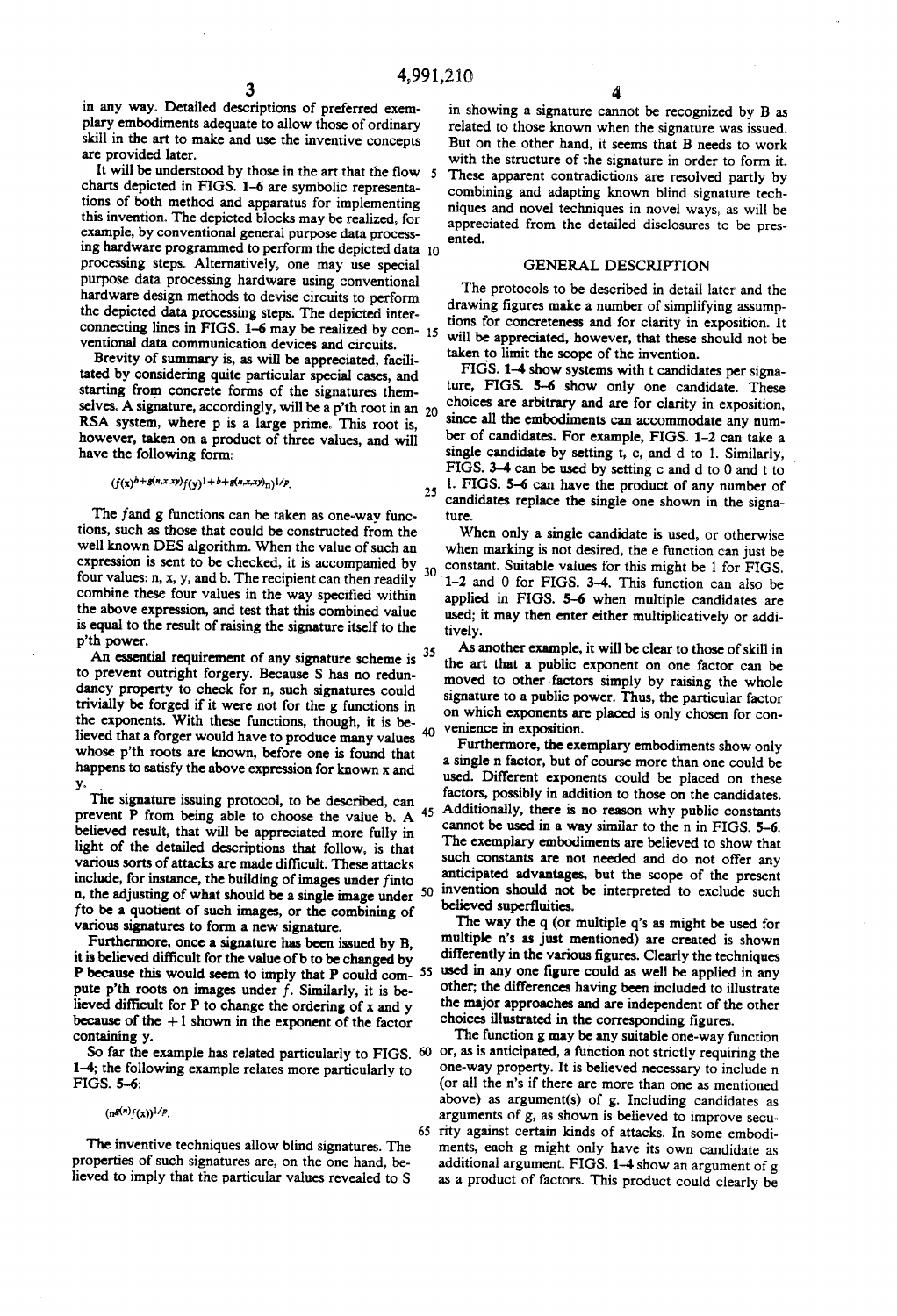in any way. Detailed descriptions of preferred exem plary embodiments adequate to allow those of ordinary skill in the art to make and use the inventive concepts are provided later.

It will be understood by those in the art that the flow  $5$ charts depicted in FIGS. 1-6 are symbolic representa tions of both method and apparatus for implementing this invention. The depicted blocks may be realized, for example, by conventional general purpose data process ing hardware programmed to perform the depicted data processing steps. Alternatively, one may use special purpose data processing hardware using conventional hardware design methods to devise circuits to perform the depicted data processing steps. The depicted inter connecting lines in FIGS. 1-6 may be realized by con-15 ventional data communication-devices and circuits.

Brevity of summary is, as will be appreciated, facili tated by considering quite particular special cases, and starting from concrete forms of the signatures them selves. A signature, accordingly, will be a p'th root in an  $_{20}$ RSA system, where p is a large prime. This root is, however, taken on a product of three values, and will have the following form:

 $(f(x)^{b+g(n,x,xy)}f(y)^{1+b+g(n,x,xy)}n)^{1/p}$ 

65

The fand g functions can be taken as one-way functions, such as those that could be constructed from the well known DES algorithm. When the value of such an expression is sent to be checked, it is accompanied by  $30 \text{ for which } x = x$  is and h. The resistent are then  $99 \text{ or } 11$ four values: n, x, y, and b. The recipient can then readily combine these four values in the way specified within the above expression, and test that this combined value is equal to the result of raising the signature itself to the p'th power.

An essential requirement of any signature scheme is <sup>35</sup> to prevent outright forgery. Because S has no redun dancy property to check for n, such signatures could trivially be forged if it were not for the g functions in the exponents. With these functions, though, it is be lieved that a forger would have to produce many values <sup>40</sup> whose p'th roots are known, before one is found that happens to satisfy the above expression for known x and y.

The signature issuing protocol, to be described, can prevent P from being able to choose the value b. A believed result, that will be appreciated more fully in light of the detailed descriptions that follow, is that various sorts of attacks are made difficult. These attacks include, for instance, the building of images under finto n, the adjusting of what should be a single image under  $50$ fto be a quotient of such images, or the combining of various signatures to form a new signature.

Furthermore, once a signature has been issued by B, it is believed difficult for the value of b to be changed by P because this would seem to imply that P could com- 55 pute p'th roots on images under  $f$ . Similarly, it is believed difficult for  $P$  to change the ordering of  $x$  and  $y$ because of the  $+1$  shown in the exponent of the factor containing y.

So far the example has related particularly to FIGS.  $\omega$ 1-4; the following example relates more particularly to FIGS. 5-6:

#### $(n^{g(n)}f(x))^{1/p}$ .

The inventive techniques allow blind signatures. The properties of such signatures are, on the one hand, be lieved to imply that the particular values revealed to S

in showing a signature cannot be recognized by B as related to those known when the signature was issued. But on the other hand, it seems that B needs to work with the structure of the signature in order to form it. These apparent contradictions are resolved partly by combining and adapting known blind signature tech niques and novel techniques in novel ways, as will be appreciated from the detailed disclosures to be pres ented.

### GENERAL DESCRIPTION

The protocols to be described in detail later and the drawing figures make a number of simplifying assumptions for concreteness and for clarity in exposition. It will be appreciated, however, that these should not be taken to limit the scope of the invention.

25  $\frac{1}{25}$ . FIGS. 5-6 can have the product of any number of FIGS. 1-4 show systems with t candidates per signa ture, FIGS. 5-6 show only one candidate. These choices are arbitrary and are for clarity in exposition, since all the embodiments can accommodate any num ber of candidates. For example, FIGS. 1-2 can take a single candidate by setting t, c, and d to 1. Similarly, FIGS. 3-4 can be used by setting c and d to 0 and t to candidates replace the single one shown in the signa ture.

When only a single candidate is used, or otherwise when marking is not desired, the e function can just be constant. Suitable values for this might be 1 for FIGS. '1-2 and 0 for FIGS. 3-4. This function can also be applied in FIGS. 5-6 when multiple candidates are used; it may then enter either multiplicatively or addi tively.

As another example, it will be clear to those of skill in the art that a public exponent on one factor can be moved to other factors simply by raising the whole signature to a public power. Thus, the particular factor on which exponents are placed is only chosen for convenience in exposition.

Furthermore, the exemplary embodiments show only a single n factor, but of course more than one could be used. Different exponents could be placed on these factors, possibly in addition to those on the candidates. Additionally, there is no reason why public constants cannot be used in a way similar to the n in FIGS. 5-6. The exemplary embodiments are believed to show that such constants are not needed and do not offer any anticipated advantages, but the scope of the present invention should not be interpreted to exclude such believed superfluities.

The way the q (or multiple q's as might be used for multiple n's as just mentioned) are created is shown differently in the various figures. Clearly the techniques used in any one figure could as well be applied in any other; the differences having been included to illustrate the major approaches and are independent of the other choices illustrated in the corresponding figures.

The function g may be any suitable one-way function or, as is anticipated, a function not strictly requiring the one-way property. It is believed necessary to include n (or all the n's if there are more than one as mentioned above) as argument(s) of g. Including candidates as arguments of g, as shown is believed to improve secu rity against certain kinds of attacks. In some embodi~ ments, each g might only have its own candidate as additional argument. FIGS. 1-4 show an argument of g as a product of factors. This product could clearly be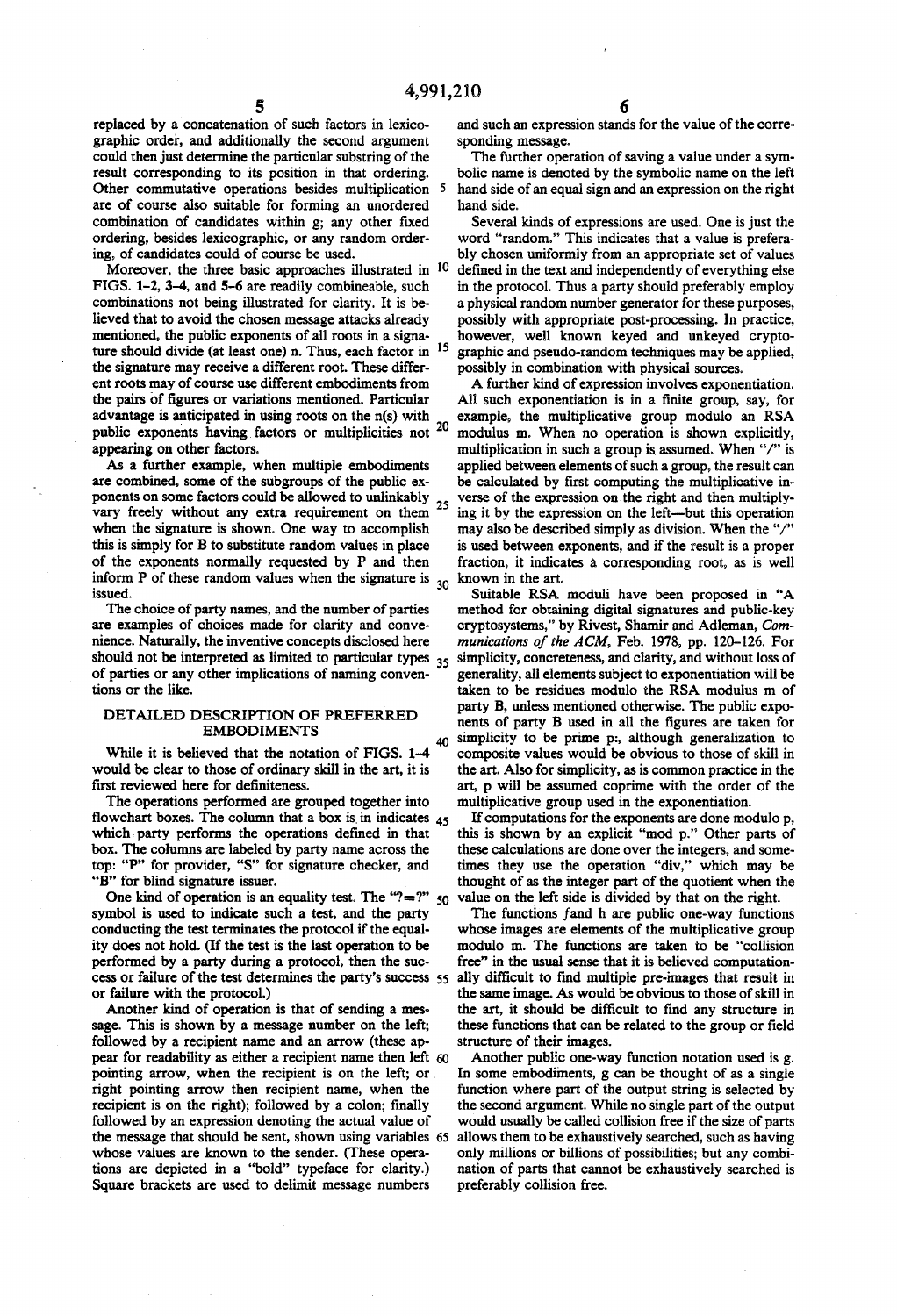replaced by a concatenation of such factors in lexicographic order, and additionally the second argument could then just determine the particular substring of the result corresponding to its position in that ordering. Other commutative operations besides multiplication 5 are of course also suitable for forming an unordered combination of candidates within g; any other fixed ordering, besides lexicographic, or any random ordering, of candidates could of course be used.

Moreover, the three basic approaches illustrated in 10 FIGS. 1-2, 3-4, and 5-6 are readily combineable, such combinations not being illustrated for clarity. It is believed that to avoid the chosen message attacks already mentioned, the public exponents of all roots in a signature should divide (at least one) n. Thus, each factor in <sup>15</sup> the signature may receive a different root. These different roots may of course use different embodiments from the pairs of figures or variations mentioned. Particular advantage is anticipated in using roots on the n(s) with public exponents having factors or multiplicities not 20 appearing on other factors.

As a further example, when multiple embodiments are combined, some of the subgroups of the public exponents on some factors could be allowed to unlinkably vary freely without any extra requirement on them when the signature is shown. One way to accomplish this is simply for B to substitute random values in place of the exponents normally requested by P and then inform P of these random values when the signature is  $_{30}$ issued.

The choice of party names, and the number of parties are examples of choices made for clarity and convenience. Naturally, the inventive concepts disclosed here should not be interpreted as limited to particular types  $35$ of parties or any other implications of naming conventions or the like.

#### DETAILED DESCRIPTION OF PREFERRED **EMBODIMENTS**

40 While it is believed that the notation of FIGS. 1-4 would be clear to those of ordinary skill in the art, it is first reviewed here for definiteness.

The operations performed are grouped together into flowchart boxes. The column that a box is in indicates  $_{45}$ which party performs the operations defined in that box. The columns are labeled by party name across the top: "P" for provider. "S" for signature checker, and "B" for blind signature issuer.

One kind of operation is an equality test. The " $?=" 50$ symbol is used to indicate such a test, and the party conducting the test terminates the protocol if the equality does not hold. (If the test is the last operation to be performed by a party during a protocol, then the success or failure of the test determines the party's success 55 ally difficult to find multiple pre-images that result in or failure with the protocol.)

Another kind of operation is that of sending a message. This is shown by a message number on the left; followed by a recipient name and an arrow (these appear for readability as either a recipient name then left 60 pointing arrow, when the recipient is on the left; or right pointing arrow then recipient name, when the recipient is on the right); followed by a colon; finally followed by an expression denoting the actual value of the message that should be sent, shown using variables 65 whose values are known to the sender. (These operations are depicted in a "bold" typeface for clarity.) Square brackets are used to delimit message numbers

and such an expression stands for the value of the corresponding message.

The further operation of saving a value under a symbolic name is denoted by the symbolic name on the left hand side of an equal sign and an expression on the right hand side.

Several kinds of expressions are used. One is just the word "random." This indicates that a value is preferably chosen uniformly from an appropriate set of values defined in the text and independently of everything else in the protocol. Thus a party should preferably employ a physical random number generator for these purposes, possibly with appropriate post-processing. In practice, however, well known keyed and unkeyed cryptographic and pseudo-random techniques may be applied, possibly in combination with physical sources.

A further kind of expression involves exponentiation. All such exponentiation is in a finite group, say, for example, the multiplicative group modulo an RSA modulus m. When no operation is shown explicitly, multiplication in such a group is assumed. When "/" is applied between elements of such a group, the result can be calculated by first computing the multiplicative inverse of the expression on the right and then multiplying it by the expression on the left—but this operation may also be described simply as division. When the "/" is used between exponents, and if the result is a proper fraction, it indicates a corresponding root, as is well known in the art.

Suitable RSA moduli have been proposed in "A method for obtaining digital signatures and public-key cryptosystems," by Rivest, Shamir and Adleman, Communications of the ACM, Feb. 1978, pp. 120-126. For simplicity, concreteness, and clarity, and without loss of generality, all elements subject to exponentiation will be taken to be residues modulo the RSA modulus m of party B, unless mentioned otherwise. The public exponents of party B used in all the figures are taken for simplicity to be prime p., although generalization to composite values would be obvious to those of skill in the art. Also for simplicity, as is common practice in the art, p will be assumed coprime with the order of the multiplicative group used in the exponentiation.

If computations for the exponents are done modulo p, this is shown by an explicit "mod p." Other parts of these calculations are done over the integers, and sometimes they use the operation "div," which may be thought of as the integer part of the quotient when the value on the left side is divided by that on the right.

The functions fand h are public one-way functions whose images are elements of the multiplicative group modulo m. The functions are taken to be "collision free" in the usual sense that it is believed computationthe same image. As would be obvious to those of skill in the art, it should be difficult to find any structure in these functions that can be related to the group or field structure of their images.

Another public one-way function notation used is g. In some embodiments, g can be thought of as a single function where part of the output string is selected by the second argument. While no single part of the output would usually be called collision free if the size of parts allows them to be exhaustively searched, such as having only millions or billions of possibilities; but any combination of parts that cannot be exhaustively searched is preferably collision free.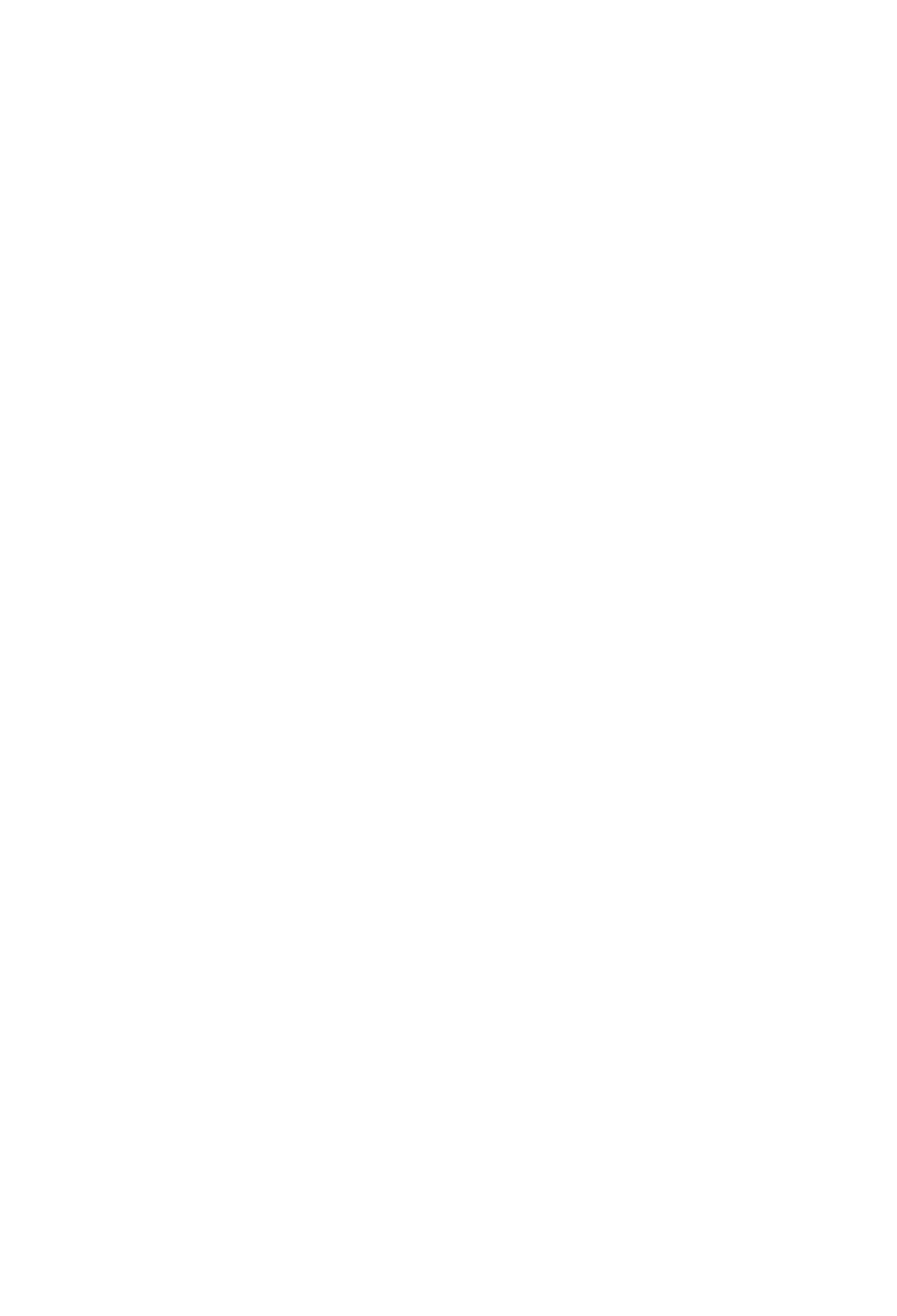Yet another function used is e. Its single argument is an integer between 1 and the number of candidates t. The result of e may be regarded modulo p, because of the way that it will be used. In some embodiments, such as those of FIGS. 3-4, the value 0 is not desired and may 5 be omitted from the range of e. Other embodiments might omit values that are not comprime with a composite p, as was mentioned. In some embodiments, e may be the constant function, for example always returning 1 or always returning 0. In other embodiments 10 it may be the identity function, returning its argument as its result. It would be obvious to those of skill in the art how any other mapping satisfying the above criteria could be used. For example, it is anticipated that if the range of e is coarsely spread over the possible values, 15 security may be enhanced slightly. Another example would give multiple pre-images to certain images under e, thereby allowing multiple candidates to have the same marking.

Another type of expression used in the exemplary 20 embodiments relates to ordered sets of integers. For example,  $\{1, \ldots, t\}$  denotes the set of integers from 1 to t inclusive in increasing order. Such sets may be combined with "-", the usual set difference operation, where the resulting order is fixed by some convention. 25 formed and saved as d(k). The first argument for g will The set membership symbol " $\mathbf{\hat{\epsilon}}$ " is used to define an index variable that runs over all the values in a set; thus, computations and messages involving an index variable are repeated for each value it takes on. In particular, the well known " $\pi$ " notation is used to indicate that the 30 product is formed of all values induced in the expression on the right by the different values of the index variable used in that expression. Elements within a set are indexed by their position. For instance, consider the set  $w = \{9, 5, 7\}$  and j w, then w(1) is 9, w(2) is 5, and w(3) 35 is 7. Indexing in general is shown either using subscript notation or with the index in parenthesis. An effort has been made, though, to be consistent in this choice for each variable. As will be appreciated, the parenthesis notation has been used for those messages and variables 40 appearing in the superscript or subscript positions.

Turning now to FIG. 1, the first part of a flowchart for a first preferred embodiment will now be described in detail. It may be thought of as a blind signature issuing transaction, in which party P obtains such a signa- 45 ture from party B.

Box 101 shows party P first choosing  $r_i$ ,  $x_i$ , c(i), c, r independently and uniformly at random, such random selection as already mentioned. For each value of i, which ranges from 1 to s, a separate random choice is 50 made for each of the first three. The r<sub>i</sub> are chosen from the elements of the multiplicative group modulo m used. The x<sub>i</sub> are chosen from some suitable set of values used as arguments for  $f$ . The  $c(i)$  are chosen from the integers from 1 to  $p-1$ . Similarly, c is also chosen from 55 the elements of the multiplicative group modulo p. Also in like manner, r is chosen as an integer between 1 and  $m-1$ , inclusive.

Next P forms, for each value of i, a residue as message [11], Consider a particular value of i. First  $r_i$  is raised to 60 the power p and saved as temp1. Then fis applied to argument  $x_i$ , with the result saved as temp2. Next  $c(i)$  is multiplied by c and the remainder after dividing by p is saved as temp3; in other words the group operation is applied to the two elements in the multiplicative group 65 modulo p. To form the message, temp2 is raised to the temp3 power and multiplied by temp1, all modulo m. Each of the s messages is then sent by P to B.

Certain additional computations are shown in the remainder of this box to suggest that they could, if desired, be done before box 103. One computation is to establish the value of the variable q as the result of applying the function h already mentioned. The arguments of h are taken as the s messages sent. But as already mentioned, such multiple arguments might be combined. The other computation forms n as r raised to the p power, the quantity times q, all modulo m, as already mentioned.

Box 102 indicates that, after receiving message  $[11]_i$ for all i between 1 and s, B creates a random index set v of integers such that it contains t elements and these elements are chosen uniformly as integers between 1 and s. Then B sends this ordered set to P as message  $[12]$ 

Box 103 describes first how the set received as message  $[12]$  by P is tested by P to ensure that its cardinality is exactly t. Then j is allowed to range over the set difference of the the set of natural numbers from 1 to s inclusive and [12]. For each value of j, P sends B  $r_i$  as  $[13.1]_h$ , x<sub>i</sub> as  $[13.2]_h$  and c(i) times c modulo p as  $[13.4](j)$ .

Next the variables k and k' are allowed to range over the set [12]. For each value of k an image under g is be the value assigned to variable n in box 101. The second argument for g is f applied to  $x_k$ . The third and final argument is the product of the images under f of all the  $x_k'$ .

As the closing operation of this box, t messages are sent to B, each message being an integer between 1 and  $p-1$ . For each value of index k, the corresponding message is formed as d(k) times the multiplicative inverse of c(k) modulo p. In other words, the multiplicative inverse modulo  $p$  of  $c(k)$  is first formed and then it is multiplied modulo p with  $d(k)$  to yield  $[13.4]_k$ .

Box 104 first illustrates the definition of index variable j, which is allowed to range over all values in the set difference between the natural numbers not exceeding s and v, a similar set difference already having been mentioned in box 103. B repeats a test for each value taken by j. Consider, for clarity, a particular value of j. Message  $[11]$  received in box 102 is tested for equality with the product of two terms. The first term is received message  $[13.1]_i$  raised to the p power. The second is f applied to received message  $[13.2]_i$ , the quantity raised to the [13.3]; power.

Provided all these tests are satisfied, as already mentioned, index variable k is allowed to range over the set v. Next an index set w is created at random but satisfying the property that those positions in w that are indexed by elements in v include all the indexes from 1 to t inclusive; in other words, when w is indexed by v, a permutation of the natural numbers not exceeding t results. For each value of  $k$ ,  $z(k)$  is computed as the product of  $e(w(k))$ , d, and message [13.3]<sub>k</sub> received, all reduced modulo p. (The expression  $e(w(k))$ , as per the notation already defined, means select the k'th element from the ordered set of indexes called w and apply function e to the resulting index treated as a natural number). Next, d is sent to P as message [14.1]. This sending is shown at this point to suggest that d is preferably revealed to P only after all messages  $[13.4]_k$  are received. When the function e is not the constant function and is used to mark the candidates as already mentioned, the ordering of the candidates is also preferably only revealed at this point; accordingly, w is sent as message [14.2].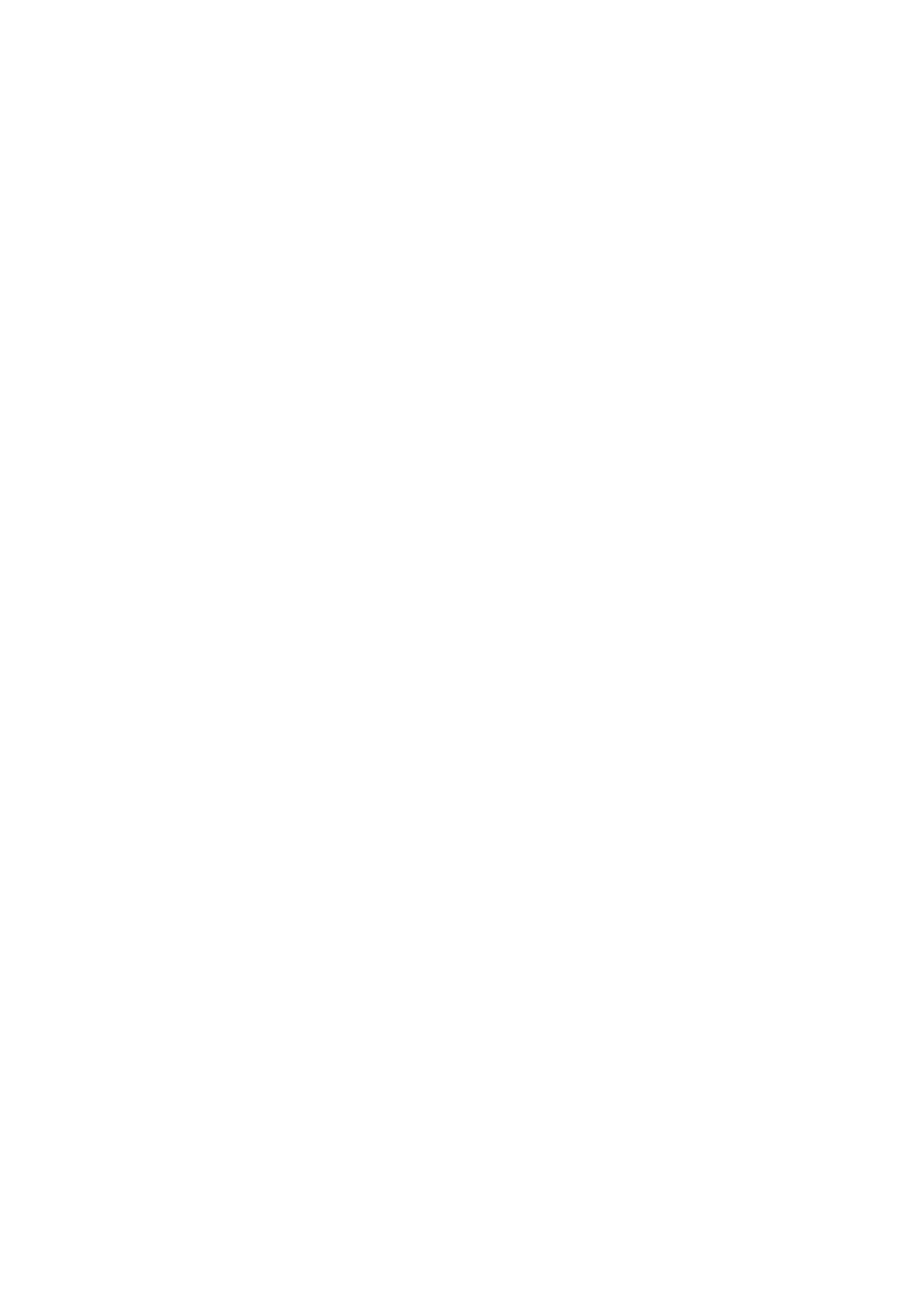The final signature, returned to P in message [14.3], is the p'th root of an image under h and the product of t terms. The arguments of h are the values of message [11]<sub>1</sub> through [11]<sub>t</sub>, just as q was formed in box 101. There is a factor in the product for each value taken on 5 by k. It is message  $[11]_k$  raised to the z(k) power modulo m.

Box 105 depicts first the setting of  $z'(k)$  to the modulo p product of three terms:  $e([14.2](k))$  already described in box 104, message [14.1] received from box 104, and 10 message  $[13.4]_k$  formed in box 103. Then equality is tested with received message [14.3] raised to the p as one side. The other side is q times a product taken over all k. Each factor in this product over k is the message  $[11]_k$  raised to the z'(k) power. 15

Next a temporary variable  $u(k)$  is assigned a value for all k. Consider a particular value of index k. The computation may be described as first setting temp1 to the modulo p product of  $e([14.1](k))$ , message  $[14.1]$  received, and message  $[13.4]_k$  received as denoted by 20  $z'(k)$ , and then letting temp2 be the modulo p product of  $c(k)$  and c. The value of  $u(k)$  is then computed as the integer part of the quotient of temp1 times temp2 divided by  $p$ . In other words,  $u(k)$  is the largest integer that does not exceed the product of temp1 and temp2 25 when multiplied by p.

Next the signature that will actually be shown, n', is computed as the product of r and message [14.2] divided by a product taken over k. Each term of this product is  $r_k$  raised to a first power times  $f(x_k)$  raised to a second 30 [31], received from box 301 and the [33.1], and [33.2], power. The first power is  $z'(k)$ , as already described, and the second power is u(k), also as already described for this box.

Finally, a re-indexed version of x is shown for notational clarity and also possibly to save storage. The x' 35 have indexes 1 to t; each  $x_k$  is saved as  $x'[142](k)$ , as per the notation already defined.

Turning now to FIG. 2, the second flowchart for part of the preferred embodiment will now be described in detail. It may be thought of as the revealing of a blind 40 signature by P to S.

Box 201 begins with P forming message [21.1] as n' already defined in box 105. Message [21.2] is given the value of variable n retained from box 101. Message [21.3] is shown taking its value as the modulo p product 45 of message [14.1] received in box 105 and variable c already defined in box 101. These three messages are sent to S. For index i ranging over the integers between 1 and t, messages  $[21.4]$  are formed as  $x'_i$ , as defined in box 105, and are sent to S.

Box 202 shows that S first lets the index variable i range from 1 to t. Then it indicates how d'(i) is formed by applying g to some of the messages received. The first argument of  $g_i$  is always message [21.2]. The next is message [21.4]. The final argument is the product of the 55  $[21.4]$ . Finally an equality is tested by S. On the left is received message [21.1] raised to the p. On the right is a message [21.2] times a product over i. The i'th factor making up the product is f applied to message [21.4], the quantity raised to a power. This power is the mod- 60 factor is the product over k of f applied to  $x_k$  raised to ulo p product of e(i), d'(i), and message [21.3]

Turning now to FIG. 3, the third flowchart for part of the preferred embodiment will now be described in detail. It may be thought of as a second blind signature issuing transaction, in which party P obtains a blind 65 signature from party B.

Box 301 indicates how P first creates the  $r_i$  as random residues modulo m and the  $x_i$  as random elements in the domain of f, where i ranges over the natural numbers not exceeding s. Then message [31], is formed and sent to B. It is a product of two factors:  $r_i$  raised to the p; and the image under  $f$  of  $x_i$ .

Box 302 then defines how, after receiving  $[31]_i$ , or at least some commit to them, B creates a three things independently and at random: v, a random ordered subset of t integers between 1 and k; q, a random residue modulo m; and d, a random value between 0 and  $p-1$ . Then B forwards  $v$  as message [31.1] and  $q$  as [31.2] to  $P.$ 

Box 303 shows how P first checks message [32.1] received, by ensuring that its cardinality is t. Next j is allowed to range over the complement of set [32.1], that is all the indexes in 1 to s that are not in v. Then the  $r_i$ and  $x_j$  are sent to B as messages [33.1]; and [33.2];, respectively. Both k and k' are allowed to run over the index set [32.1]. A random residue modulo m is assigned variable  $r$ , and each  $c$  and all  $c(k)$  are set to random integers between 0 and  $p-1$ . Now n can be set to the product of three factors: r raised to the p power; message [32.2] received; and a product over k of images under f of  $x_k$  each raised to the  $c(k)$  power. This allows  $d(k)$  to be set to an image under g where the first argument is n. The second argument is  $f(x_k)$ . The third argument is the product over k' of f applied to each  $x_k'$ . At last message  $[33.3]_k$  can be computed and sent to B. Its value is the modulo p sum of c,  $d(k)$ , and  $c(k)$ .

Box 304 is first the recovery and checking by B of the received from box 303. For all j in 1 to s but not in v, [31], is checked for equality with the product of [33.1], raised to the p and f applied to  $[33.2]_i$ . Provided this holds, B proceeds by allowing k to range over v. A set w is formed at random with the constraint that when indexed by elements in v, every natural number not exceeding  $t$  results. Variable  $z(k)$  is set to the modulo  $p$ sum of three terms: d, message  $[33.3]_k$  received, and e applied to w indexed by k. Sending of d to P as message [34.2] is shown at this point to suggest that this value is preferably not revealed to P until messages  $[33.3]_k$  have been received. Also sent P is message [34.2] containing w. The signature [34.3] is computed and sent to P. It is the p'th root of the product of q and a product over k of the  $[31]_k$  each raised to the corresponding  $z(k)$ .

Box 305 depicts first the setting of  $z'(a)$  by P as the modulo p sum of message [34.1] received, message  $[33.3]_k$  sent in box 303, and function e applied to message [34.2] received indexed by k. Then message [34.3] 50 received is tested by raising it to the p and checking that the result equals a product. One factor in the product is message [32.2] already received. The other is the product over k of messages  $[31]_k$  each raised to the corresponding  $z'(k)$ . Next  $u(a)$  is developed in three stages. First  $z'(k)$  is taken. Then this value is subtracted from the integer  $c(k)$ , and  $p-1$  is added as an integer. As per the definition of the notation, the resulting integer is divided by  $p$  and the integer remainder becomes  $u(k)$ . Then n' is set to the product of four factors. The first the corresponding u(k). The second factor is r, the third is message [34.3], and the fourth is the multiplicative inverse of a product over  $k$  of  $r_k$  raised to the corresponding z'(k) power. Finally, x' indexed by message [34.2] indexed by k is set to  $x_k$ , in a similar way as in box 105.

Turning now to FIG. 4, the fourth flowchart for part of the preferred embodiment will now be described in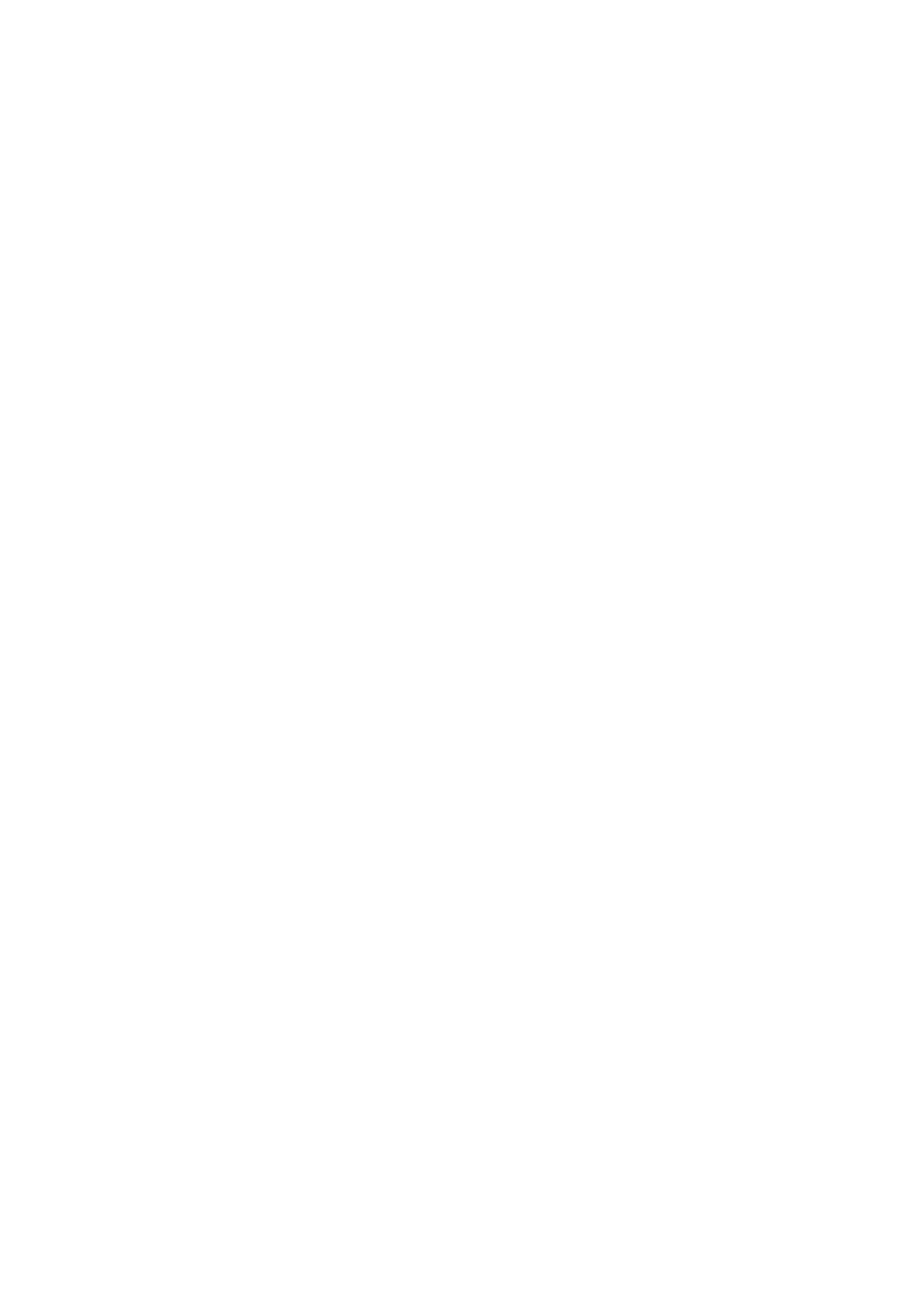detail. It may be thought of as the second protocol allowing P to reveal a blind signature to S.

Box 401 shows P sending message [41.1], [41.2], and [41.3] to S containing, respectively, n', n, and the modulo p sum of message [34.1] with c. Then, with i ranging 5 between 1 and t, message [41.4]; is sent S containing  $x'$ ;

Box 402 indicates first how S lets i and i' both range over the natural numbers not exceeding t. Then d'(i) is computed as the image under g of three arguments. The first is message  $[41.2]$  received; the second is message 10 [41.4] $_{\tilde{6}}$  and the third is the product over i' of the image under f of received message [41.4]. Now S can check the signature [41.1] by raising it to the p power and checking the result for equality with a product of two factors. The first is message [41.2]. The second is the 15 order expressions, tests, and transmissions within flowproduct over i of f applied to message  $[41.1]$ ; raised to a power. This power is the modulo p sum of d'(i), received message [41.3], and e(i).

Turning now to FIG. 5, a fifth flowchart for a preferred embodiment will now be described in detail. It 20 may be thought of as a blind signature issuing transaction, in which party P obtains such a signature from party B.

Box 501 shows party P first choosing x, r, s, and c independently and uniformly at random, such random 25 significance. selection as already mentioned. The first three, x, r, and s, are chosen from the residues modulo m; the last is chosen from the integers 1 to  $p-1$ . Message [51.1] is formed, before being sent to B, as r raised to the p, the quantity times the image of x under f. A value for q is 30 developed as the function  $h$  applied to message  $[51.1]$ ; but, selection of q as a function of candidates, as in FIG. 1, or random choice of q by B, as in FIG. 3, are also of course suitable. Next n is formed as the product of q to the power c times the quantity s to the power p. Vari- 35 tures. able d is set to the image of n under function g. Then message [51.2] is shown being sent to B. It contains the product of d and c reduced modulo p.

Two values, a and b are shown as being developed after the messages of this box have been sent. This 40 placement of computations is intended to suggest that they can be performed in advance of box 503 in some embodiments, but naturally they could also be computed later. Variable a gets the value of q raised to the content of message [51.2] already mentioned. Variable b 45 gets the product of three factors: q raised to the power determined by the integer remainder after dividing d times c by p; s raised to the d power; and the multiplicative inverse of r.

Box 502 indicates that, after receiving messages [51.1] 50 and [51.2], B creates and returns a signature as message [52]. B computes this signature as the p'th root of a product. One factor in the product is the image of message [51.1] under function h, the quantity raised to the message [51.2] power; the other factor is message [51.1]. 55

Box 503 describes first how the signature received as message [52] by P is tested by P. It is raised to the p power and the result is tested for equality with the product of variable a, set in box 501, with message [51.1], sent in box 501. Finally variable n' is set to the 60 product of the quantity b, defined in box 501, times message [52].

Turning now to FIG. 6, the sixth flowchart for part of the preferred embodiment will now be described in detail. It may again be thought of as the revealing of a 65 blind signature by P to S.

Box 601 begins with P forming message [61.1] as n' already defined in box 503. Message [61.2] is next given the value of variable n retained from box 501. Then message [61.3] is shown taking its value as variable x also from box 501. These three messages are sent by P to S

Box 602 shows how S test these three messages received. Message [61.1] is raised tot the p power and the result is checked for equality with the product of two factors. The first factor is message [61.2] raised to a power that is the image of message [61.2] under function g already defined. The second factor is the image of message [61.3] under function f, as already defined.

As would be obvious to those of ordinary skill in the art, there are many essentially equivalent orders to evaluate expressions; ways to evaluate expressions; ways to chart boxes; ways to group operations into flowchart boxes; and ways to order flowchart boxes. The particular choices that have been made here are merely for clarity in exposition and are sometimes arbitrary. Notice, for example, that whether a signature is first tested in blinded form and then unblinded, as shown for clarity here, or unblinded and then tested, is quite unessential. Also, for example, the order in which messages are generated within a box and sent may be of little or no

It will also be obvious to those of ordinary skill in the art how parts of the inventive concepts and protocols herein disclosed can be used to advantage without necessitating the complete preferred embodiment. This may be more fully appreciated in light of some examples. FIGS. 1-4, for example, show a variety of techniques, some of which can be omitted if desired: the marking by way of the e function; the use of more than one candidate; and the unpredictable value in the signa-

Certain variations and substitutions may be apparent to those of ordinary skill in the art. For example, any abelian group with public group operation and order known only to B can be used instead of RSA. Other types of blinding could also be used, such as those called "unanticipated" blind signatures. Instead of a prime p, as already mentioned, composites could of course be used.

Other example substitutions and variations related to the form of the numbers signed would be obvious also. The redundancy scheme shown does not explicitly include side information that is not signed but that is later used to verify the redundancy properties, as is well known in the art.

Public-key digital blind signature apparatus for practicing this invention is symbolically depicted in FIG. 7. Here, the data processor means 702 of a providing party provides at least one candidate message from means 704 to the data processor means 706 of a blind signature issuing party over a suitable data communication link (indicated by dotted lines). Processor 706 and associated means 708 receives such provided candidate message(s). Processor 706 and associated means 710 then applies an exponent to at least one such candidate message(s) that cannot readily be determined by the providing party. Then, processor 706 in association with means 712 returns a first signature including said exponent to the providing party (which receives it at means 714). Processor 706 with associated means 716 also forms a second digital signature using said at least one candidate message that is unlinkable to the first signature issued. Processor 706 and associated means 710 is also capable of applying an exponent independent of the